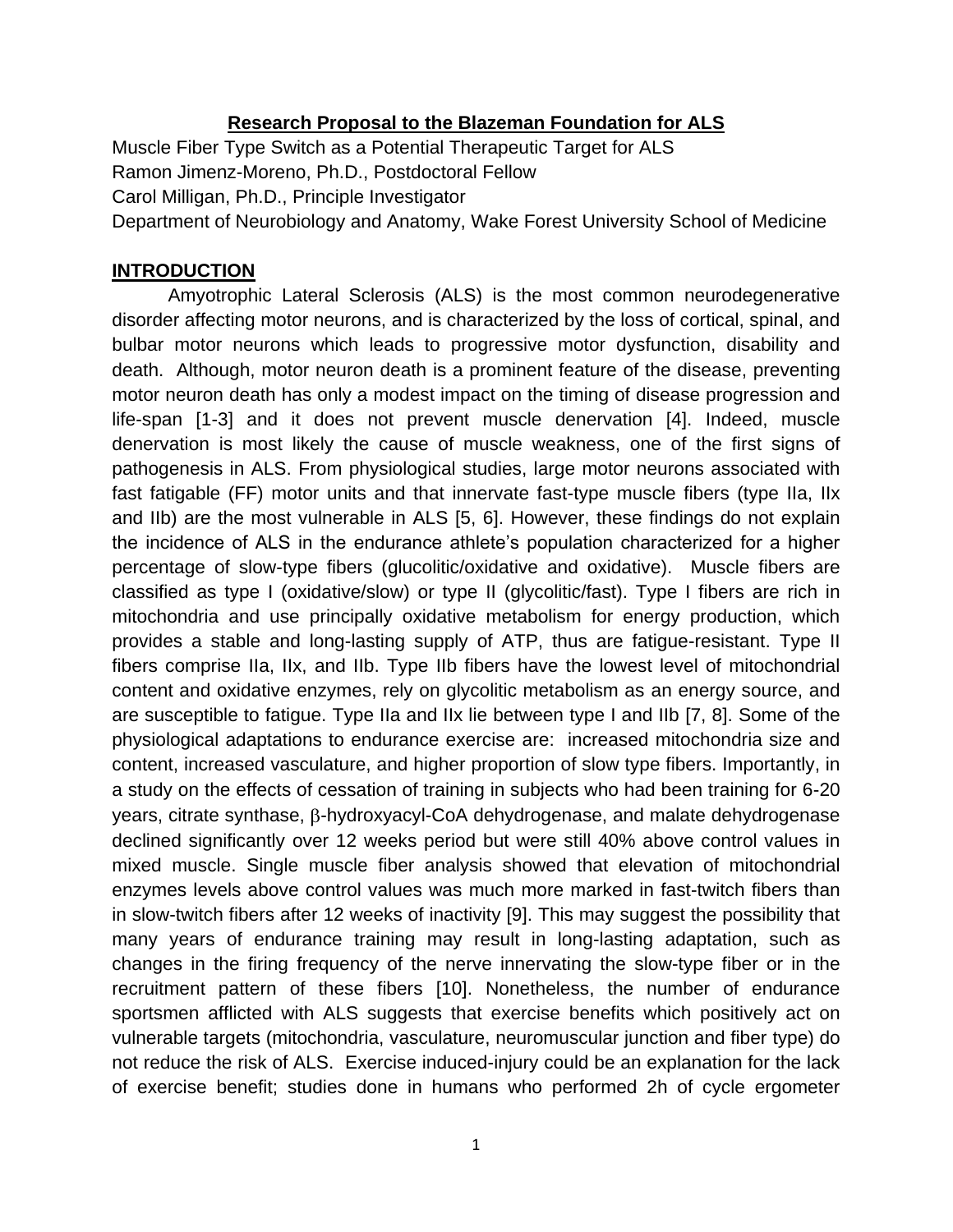### **Research Proposal to the Blazeman Foundation for ALS**

Muscle Fiber Type Switch as a Potential Therapeutic Target for ALS Ramon Jimenz-Moreno, Ph.D., Postdoctoral Fellow Carol Milligan, Ph.D., Principle Investigator Department of Neurobiology and Anatomy, Wake Forest University School of Medicine

#### **INTRODUCTION**

Amyotrophic Lateral Sclerosis (ALS) is the most common neurodegenerative disorder affecting motor neurons, and is characterized by the loss of cortical, spinal, and bulbar motor neurons which leads to progressive motor dysfunction, disability and death. Although, motor neuron death is a prominent feature of the disease, preventing motor neuron death has only a modest impact on the timing of disease progression and life-span [1-3] and it does not prevent muscle denervation [4]. Indeed, muscle denervation is most likely the cause of muscle weakness, one of the first signs of pathogenesis in ALS. From physiological studies, large motor neurons associated with fast fatigable (FF) motor units and that innervate fast-type muscle fibers (type IIa, IIx and IIb) are the most vulnerable in ALS [5, 6]. However, these findings do not explain the incidence of ALS in the endurance athlete's population characterized for a higher percentage of slow-type fibers (glucolitic/oxidative and oxidative). Muscle fibers are classified as type I (oxidative/slow) or type II (glycolitic/fast). Type I fibers are rich in mitochondria and use principally oxidative metabolism for energy production, which provides a stable and long-lasting supply of ATP, thus are fatigue-resistant. Type II fibers comprise IIa, IIx, and IIb. Type IIb fibers have the lowest level of mitochondrial content and oxidative enzymes, rely on glycolitic metabolism as an energy source, and are susceptible to fatigue. Type IIa and IIx lie between type I and IIb [7, 8]. Some of the physiological adaptations to endurance exercise are: increased mitochondria size and content, increased vasculature, and higher proportion of slow type fibers. Importantly, in a study on the effects of cessation of training in subjects who had been training for 6-20 years, citrate synthase,  $\beta$ -hydroxyacyl-CoA dehydrogenase, and malate dehydrogenase declined significantly over 12 weeks period but were still 40% above control values in mixed muscle. Single muscle fiber analysis showed that elevation of mitochondrial enzymes levels above control values was much more marked in fast-twitch fibers than in slow-twitch fibers after 12 weeks of inactivity [9]. This may suggest the possibility that many years of endurance training may result in long-lasting adaptation, such as changes in the firing frequency of the nerve innervating the slow-type fiber or in the recruitment pattern of these fibers [10]. Nonetheless, the number of endurance sportsmen afflicted with ALS suggests that exercise benefits which positively act on vulnerable targets (mitochondria, vasculature, neuromuscular junction and fiber type) do not reduce the risk of ALS. Exercise induced-injury could be an explanation for the lack of exercise benefit; studies done in humans who performed 2h of cycle ergometer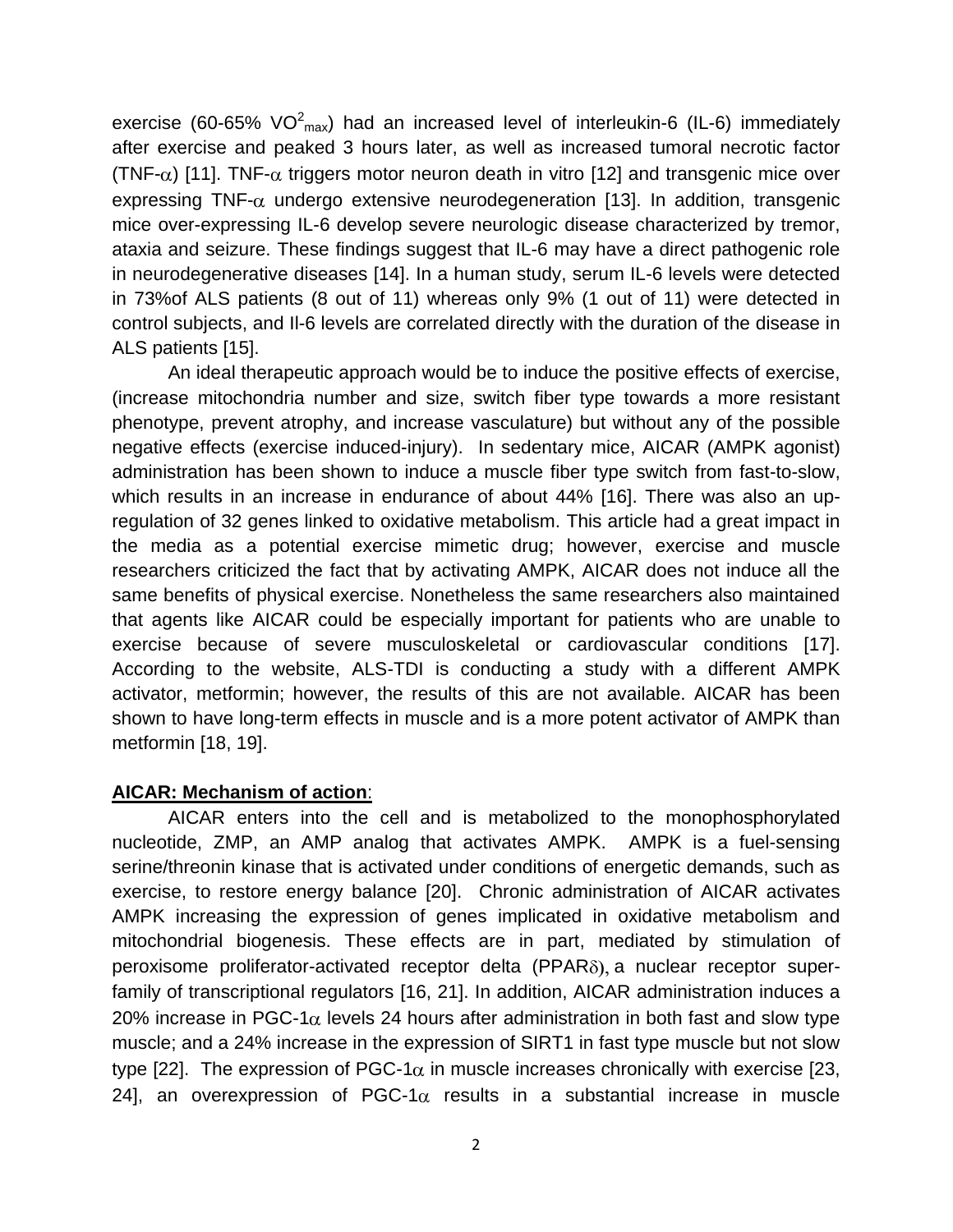exercise (60-65% VO $^2$ <sub>max</sub>) had an increased level of interleukin-6 (IL-6) immediately after exercise and peaked 3 hours later, as well as increased tumoral necrotic factor (TNF- $\alpha$ ) [11]. TNF- $\alpha$  triggers motor neuron death in vitro [12] and transgenic mice over expressing TNF- $\alpha$  undergo extensive neurodegeneration [13]. In addition, transgenic mice over-expressing IL-6 develop severe neurologic disease characterized by tremor, ataxia and seizure. These findings suggest that IL-6 may have a direct pathogenic role in neurodegenerative diseases [14]. In a human study, serum IL-6 levels were detected in 73%of ALS patients (8 out of 11) whereas only 9% (1 out of 11) were detected in control subjects, and Il-6 levels are correlated directly with the duration of the disease in ALS patients [15].

An ideal therapeutic approach would be to induce the positive effects of exercise, (increase mitochondria number and size, switch fiber type towards a more resistant phenotype, prevent atrophy, and increase vasculature) but without any of the possible negative effects (exercise induced-injury). In sedentary mice, AICAR (AMPK agonist) administration has been shown to induce a muscle fiber type switch from fast-to-slow, which results in an increase in endurance of about 44% [16]. There was also an upregulation of 32 genes linked to oxidative metabolism. This article had a great impact in the media as a potential exercise mimetic drug; however, exercise and muscle researchers criticized the fact that by activating AMPK, AICAR does not induce all the same benefits of physical exercise. Nonetheless the same researchers also maintained that agents like AICAR could be especially important for patients who are unable to exercise because of severe musculoskeletal or cardiovascular conditions [17]. According to the website, ALS-TDI is conducting a study with a different AMPK activator, metformin; however, the results of this are not available. AICAR has been shown to have long-term effects in muscle and is a more potent activator of AMPK than metformin [18, 19].

### **AICAR: Mechanism of action**:

AICAR enters into the cell and is metabolized to the monophosphorylated nucleotide, ZMP, an AMP analog that activates AMPK. AMPK is a fuel-sensing serine/threonin kinase that is activated under conditions of energetic demands, such as exercise, to restore energy balance [20]. Chronic administration of AICAR activates AMPK increasing the expression of genes implicated in oxidative metabolism and mitochondrial biogenesis. These effects are in part, mediated by stimulation of peroxisome proliferator-activated receptor delta  $(PPAR<sub>o</sub>)$ , a nuclear receptor superfamily of transcriptional regulators [16, 21]. In addition, AICAR administration induces a 20% increase in PGC-1 $\alpha$  levels 24 hours after administration in both fast and slow type muscle; and a 24% increase in the expression of SIRT1 in fast type muscle but not slow type [22]. The expression of PGC-1 $\alpha$  in muscle increases chronically with exercise [23, 24], an overexpression of PGC-1 $\alpha$  results in a substantial increase in muscle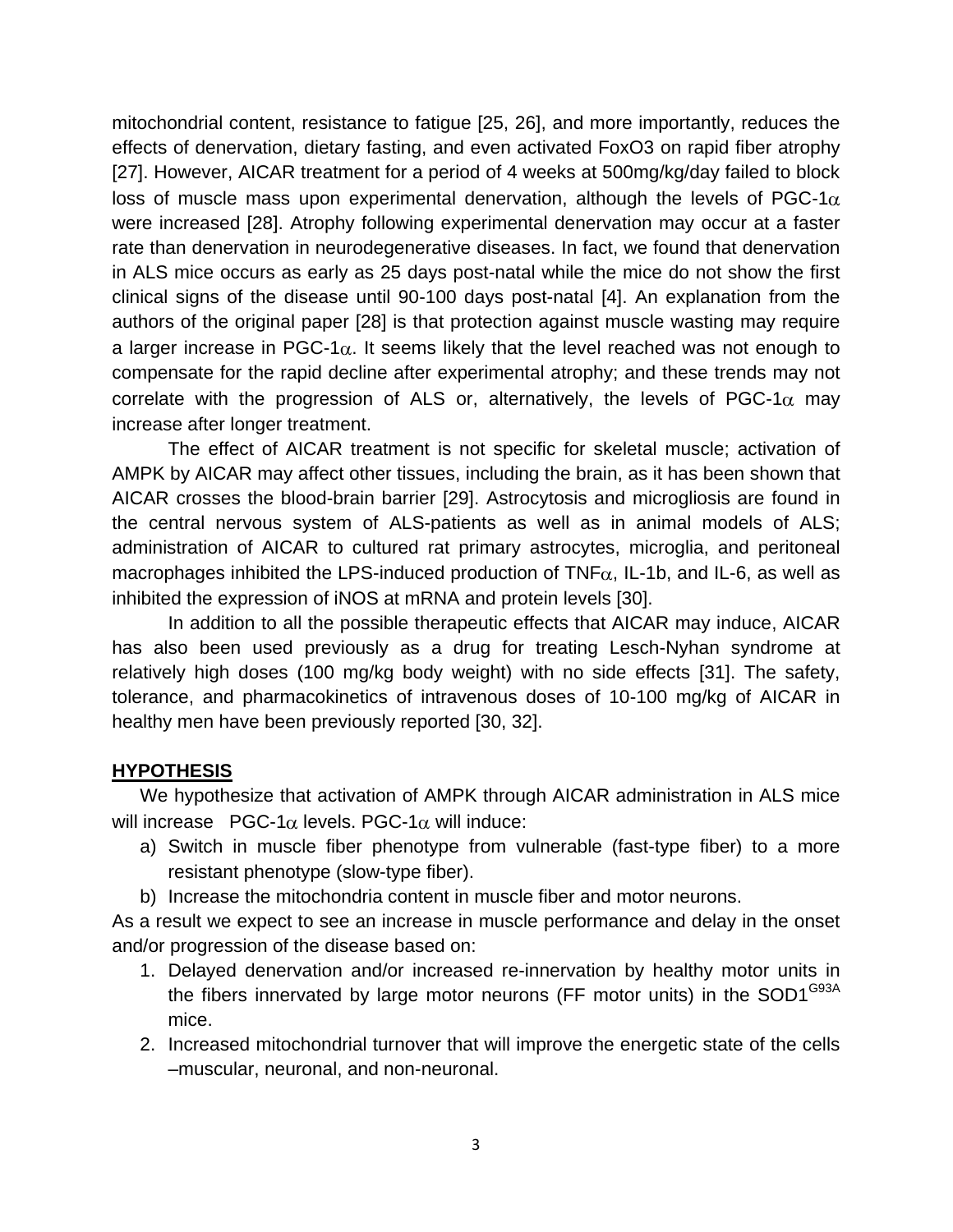mitochondrial content, resistance to fatigue [25, 26], and more importantly, reduces the effects of denervation, dietary fasting, and even activated FoxO3 on rapid fiber atrophy [27]. However, AICAR treatment for a period of 4 weeks at 500mg/kg/day failed to block loss of muscle mass upon experimental denervation, although the levels of PGC-1 $\alpha$ were increased [28]. Atrophy following experimental denervation may occur at a faster rate than denervation in neurodegenerative diseases. In fact, we found that denervation in ALS mice occurs as early as 25 days post-natal while the mice do not show the first clinical signs of the disease until 90-100 days post-natal [4]. An explanation from the authors of the original paper [28] is that protection against muscle wasting may require a larger increase in PGC-1 $\alpha$ . It seems likely that the level reached was not enough to compensate for the rapid decline after experimental atrophy; and these trends may not correlate with the progression of ALS or, alternatively, the levels of PGC-1 $\alpha$  may increase after longer treatment.

The effect of AICAR treatment is not specific for skeletal muscle; activation of AMPK by AICAR may affect other tissues, including the brain, as it has been shown that AICAR crosses the blood-brain barrier [29]. Astrocytosis and microgliosis are found in the central nervous system of ALS-patients as well as in animal models of ALS; administration of AICAR to cultured rat primary astrocytes, microglia, and peritoneal macrophages inhibited the LPS-induced production of  $TNF\alpha$ , IL-1b, and IL-6, as well as inhibited the expression of iNOS at mRNA and protein levels [30].

In addition to all the possible therapeutic effects that AICAR may induce, AICAR has also been used previously as a drug for treating Lesch-Nyhan syndrome at relatively high doses (100 mg/kg body weight) with no side effects [31]. The safety, tolerance, and pharmacokinetics of intravenous doses of 10-100 mg/kg of AICAR in healthy men have been previously reported [30, 32].

### **HYPOTHESIS**

We hypothesize that activation of AMPK through AICAR administration in ALS mice will increase PGC-1 $\alpha$  levels. PGC-1 $\alpha$  will induce:

- a) Switch in muscle fiber phenotype from vulnerable (fast-type fiber) to a more resistant phenotype (slow-type fiber).
- b) Increase the mitochondria content in muscle fiber and motor neurons.

As a result we expect to see an increase in muscle performance and delay in the onset and/or progression of the disease based on:

- 1. Delayed denervation and/or increased re-innervation by healthy motor units in the fibers innervated by large motor neurons (FF motor units) in the SOD1<sup>G93A</sup> mice.
- 2. Increased mitochondrial turnover that will improve the energetic state of the cells –muscular, neuronal, and non-neuronal.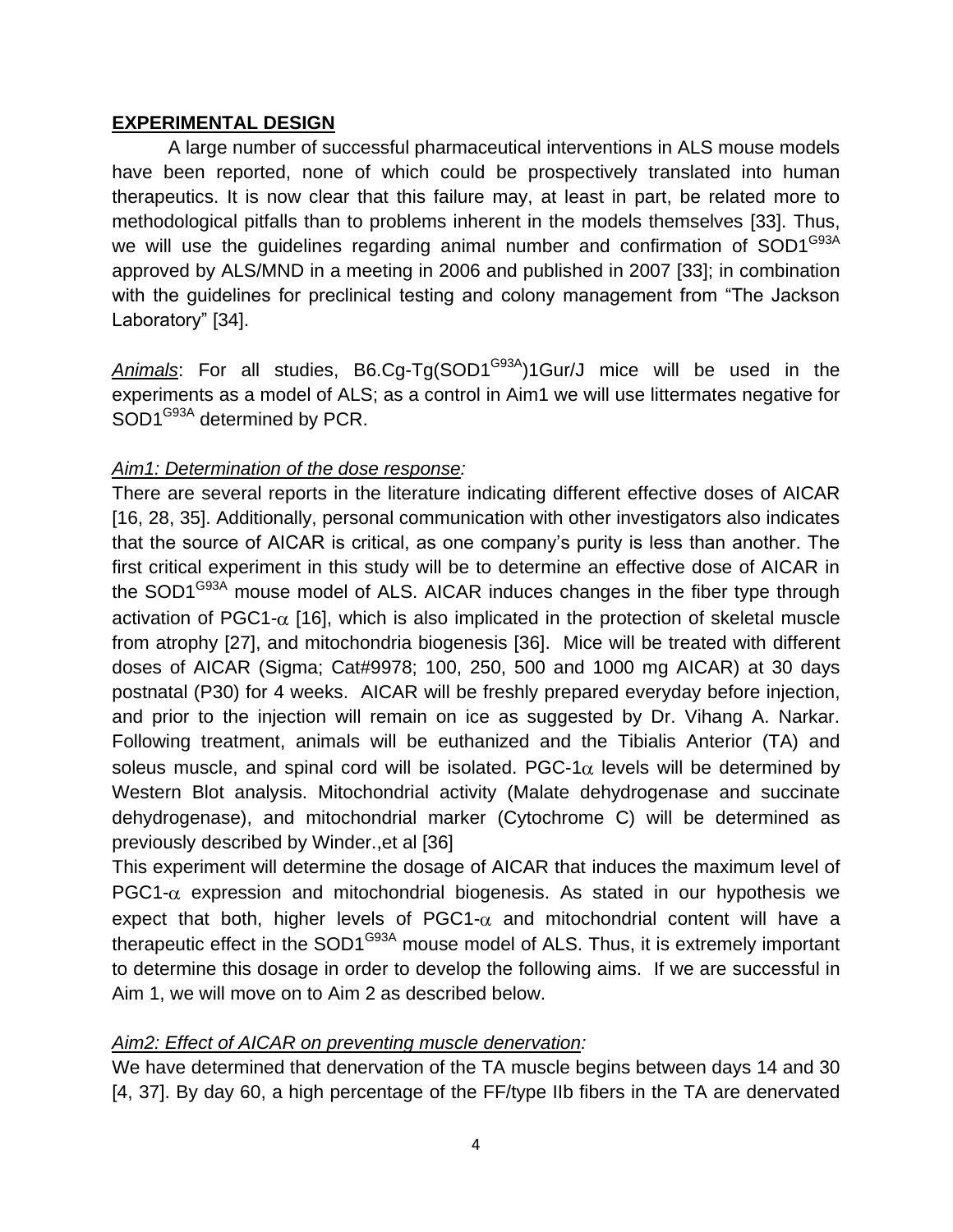### **EXPERIMENTAL DESIGN**

A large number of successful pharmaceutical interventions in ALS mouse models have been reported, none of which could be prospectively translated into human therapeutics. It is now clear that this failure may, at least in part, be related more to methodological pitfalls than to problems inherent in the models themselves [33]. Thus, we will use the guidelines regarding animal number and confirmation of SOD1<sup>G93A</sup> approved by ALS/MND in a meeting in 2006 and published in 2007 [33]; in combination with the guidelines for preclinical testing and colony management from "The Jackson Laboratory" [34].

Animals: For all studies, B6.Cg-Tg(SOD1<sup>G93A</sup>)1Gur/J mice will be used in the experiments as a model of ALS; as a control in Aim1 we will use littermates negative for SOD1<sup>G93A</sup> determined by PCR.

# *Aim1: Determination of the dose response:*

There are several reports in the literature indicating different effective doses of AICAR [16, 28, 35]. Additionally, personal communication with other investigators also indicates that the source of AICAR is critical, as one company's purity is less than another. The first critical experiment in this study will be to determine an effective dose of AICAR in the SOD1<sup>G93A</sup> mouse model of ALS. AICAR induces changes in the fiber type through activation of PGC1- $\alpha$  [16], which is also implicated in the protection of skeletal muscle from atrophy [27], and mitochondria biogenesis [36]. Mice will be treated with different doses of AICAR (Sigma; Cat#9978; 100, 250, 500 and 1000 mg AICAR) at 30 days postnatal (P30) for 4 weeks. AICAR will be freshly prepared everyday before injection, and prior to the injection will remain on ice as suggested by Dr. Vihang A. Narkar. Following treatment, animals will be euthanized and the Tibialis Anterior (TA) and soleus muscle, and spinal cord will be isolated. PGC-1 $\alpha$  levels will be determined by Western Blot analysis. Mitochondrial activity (Malate dehydrogenase and succinate dehydrogenase), and mitochondrial marker (Cytochrome C) will be determined as previously described by Winder.,et al [36]

This experiment will determine the dosage of AICAR that induces the maximum level of  $PGC1-\alpha$  expression and mitochondrial biogenesis. As stated in our hypothesis we expect that both, higher levels of PGC1- $\alpha$  and mitochondrial content will have a therapeutic effect in the SOD1<sup>G93A</sup> mouse model of ALS. Thus, it is extremely important to determine this dosage in order to develop the following aims. If we are successful in Aim 1, we will move on to Aim 2 as described below.

## *Aim2: Effect of AICAR on preventing muscle denervation:*

We have determined that denervation of the TA muscle begins between days 14 and 30 [4, 37]. By day 60, a high percentage of the FF/type IIb fibers in the TA are denervated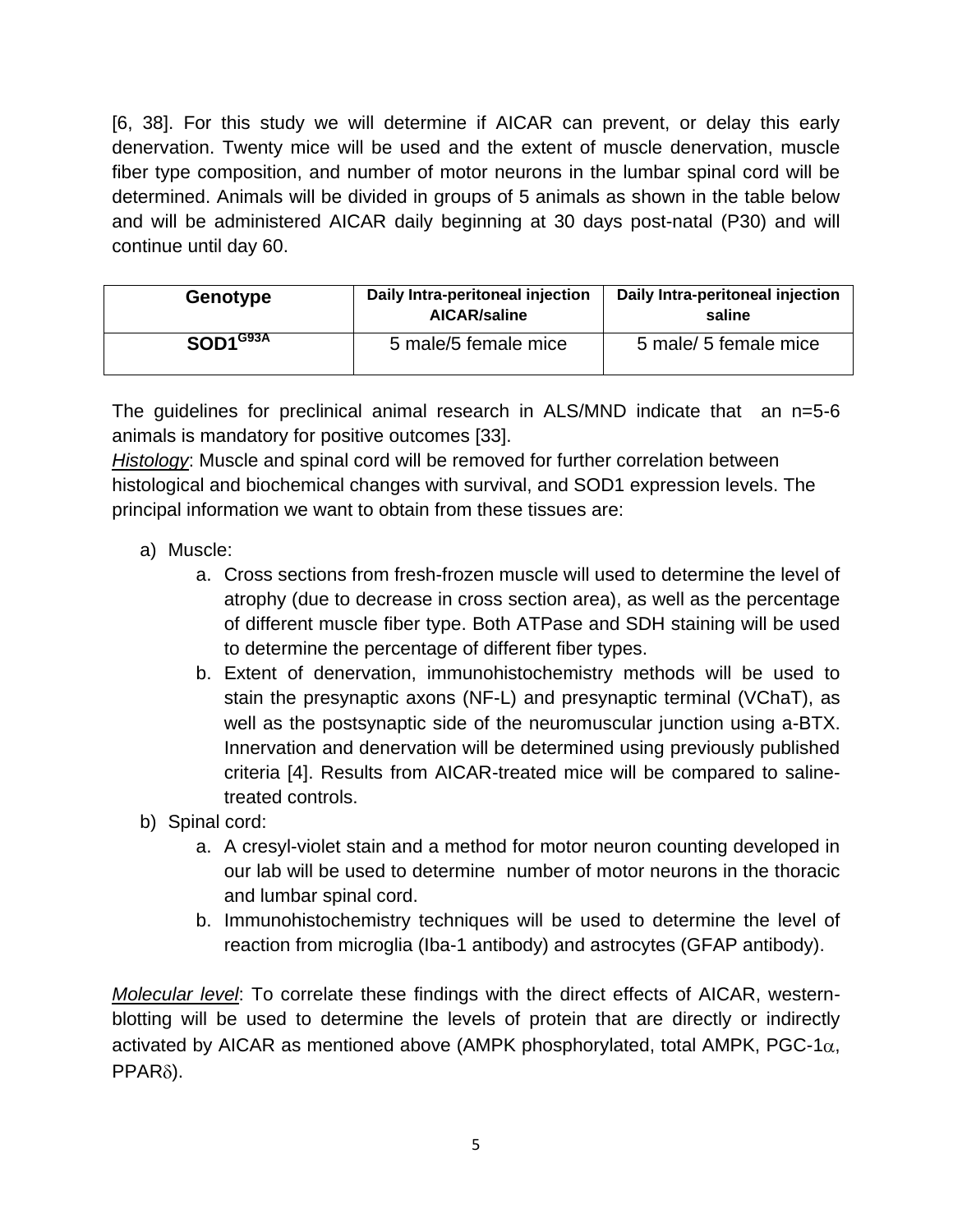[6, 38]. For this study we will determine if AICAR can prevent, or delay this early denervation. Twenty mice will be used and the extent of muscle denervation, muscle fiber type composition, and number of motor neurons in the lumbar spinal cord will be determined. Animals will be divided in groups of 5 animals as shown in the table below and will be administered AICAR daily beginning at 30 days post-natal (P30) and will continue until day 60.

| <b>Genotype</b>        | Daily Intra-peritoneal injection<br><b>AICAR/saline</b> | Daily Intra-peritoneal injection<br>saline |
|------------------------|---------------------------------------------------------|--------------------------------------------|
| $SOD1$ <sup>G93A</sup> | 5 male/5 female mice                                    | 5 male/ 5 female mice                      |

The guidelines for preclinical animal research in ALS/MND indicate that an n=5-6 animals is mandatory for positive outcomes [33].

*Histology*: Muscle and spinal cord will be removed for further correlation between histological and biochemical changes with survival, and SOD1 expression levels. The principal information we want to obtain from these tissues are:

- a) Muscle:
	- a. Cross sections from fresh-frozen muscle will used to determine the level of atrophy (due to decrease in cross section area), as well as the percentage of different muscle fiber type. Both ATPase and SDH staining will be used to determine the percentage of different fiber types.
	- b. Extent of denervation, immunohistochemistry methods will be used to stain the presynaptic axons (NF-L) and presynaptic terminal (VChaT), as well as the postsynaptic side of the neuromuscular junction using a-BTX. Innervation and denervation will be determined using previously published criteria [4]. Results from AICAR-treated mice will be compared to salinetreated controls.
- b) Spinal cord:
	- a. A cresyl-violet stain and a method for motor neuron counting developed in our lab will be used to determine number of motor neurons in the thoracic and lumbar spinal cord.
	- b. Immunohistochemistry techniques will be used to determine the level of reaction from microglia (Iba-1 antibody) and astrocytes (GFAP antibody).

*Molecular level*: To correlate these findings with the direct effects of AICAR, westernblotting will be used to determine the levels of protein that are directly or indirectly activated by AICAR as mentioned above (AMPK phosphorylated, total AMPK, PGC-1 $\alpha$ ,  $PPAR<sub>δ</sub>$ ).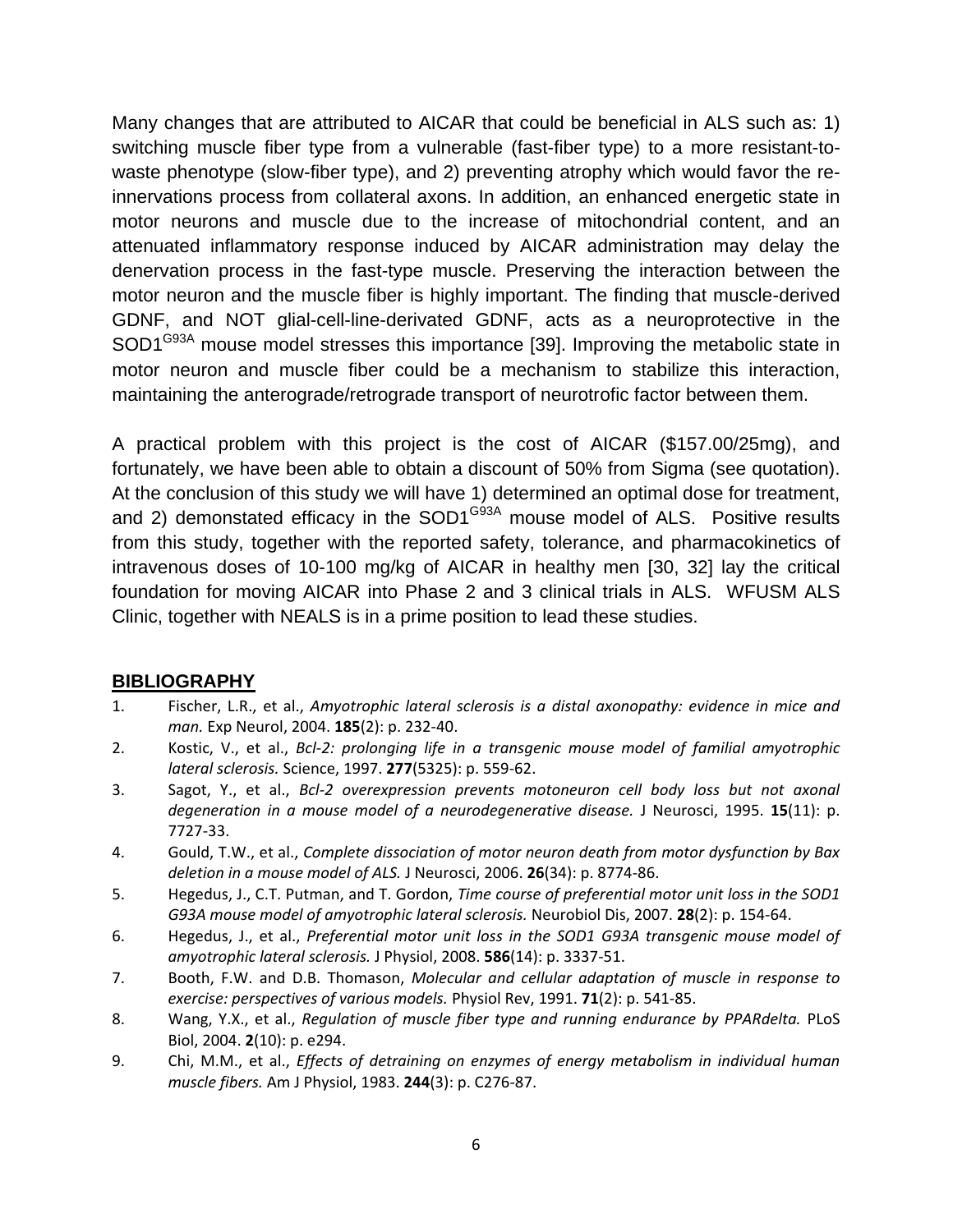Many changes that are attributed to AICAR that could be beneficial in ALS such as: 1) switching muscle fiber type from a vulnerable (fast-fiber type) to a more resistant-towaste phenotype (slow-fiber type), and 2) preventing atrophy which would favor the reinnervations process from collateral axons. In addition, an enhanced energetic state in motor neurons and muscle due to the increase of mitochondrial content, and an attenuated inflammatory response induced by AICAR administration may delay the denervation process in the fast-type muscle. Preserving the interaction between the motor neuron and the muscle fiber is highly important. The finding that muscle-derived GDNF, and NOT glial-cell-line-derivated GDNF, acts as a neuroprotective in the SOD1<sup>G93A</sup> mouse model stresses this importance [39]. Improving the metabolic state in motor neuron and muscle fiber could be a mechanism to stabilize this interaction, maintaining the anterograde/retrograde transport of neurotrofic factor between them.

A practical problem with this project is the cost of AICAR (\$157.00/25mg), and fortunately, we have been able to obtain a discount of 50% from Sigma (see quotation). At the conclusion of this study we will have 1) determined an optimal dose for treatment, and 2) demonstated efficacy in the SOD1 $G<sup>93A</sup>$  mouse model of ALS. Positive results from this study, together with the reported safety, tolerance, and pharmacokinetics of intravenous doses of 10-100 mg/kg of AICAR in healthy men [30, 32] lay the critical foundation for moving AICAR into Phase 2 and 3 clinical trials in ALS. WFUSM ALS Clinic, together with NEALS is in a prime position to lead these studies.

### **BIBLIOGRAPHY**

- 1. Fischer, L.R., et al., *Amyotrophic lateral sclerosis is a distal axonopathy: evidence in mice and man.* Exp Neurol, 2004. **185**(2): p. 232-40.
- 2. Kostic, V., et al., *Bcl-2: prolonging life in a transgenic mouse model of familial amyotrophic lateral sclerosis.* Science, 1997. **277**(5325): p. 559-62.
- 3. Sagot, Y., et al., *Bcl-2 overexpression prevents motoneuron cell body loss but not axonal degeneration in a mouse model of a neurodegenerative disease.* J Neurosci, 1995. **15**(11): p. 7727-33.
- 4. Gould, T.W., et al., *Complete dissociation of motor neuron death from motor dysfunction by Bax deletion in a mouse model of ALS.* J Neurosci, 2006. **26**(34): p. 8774-86.
- 5. Hegedus, J., C.T. Putman, and T. Gordon, *Time course of preferential motor unit loss in the SOD1 G93A mouse model of amyotrophic lateral sclerosis.* Neurobiol Dis, 2007. **28**(2): p. 154-64.
- 6. Hegedus, J., et al., *Preferential motor unit loss in the SOD1 G93A transgenic mouse model of amyotrophic lateral sclerosis.* J Physiol, 2008. **586**(14): p. 3337-51.
- 7. Booth, F.W. and D.B. Thomason, *Molecular and cellular adaptation of muscle in response to exercise: perspectives of various models.* Physiol Rev, 1991. **71**(2): p. 541-85.
- 8. Wang, Y.X., et al., *Regulation of muscle fiber type and running endurance by PPARdelta.* PLoS Biol, 2004. **2**(10): p. e294.
- 9. Chi, M.M., et al., *Effects of detraining on enzymes of energy metabolism in individual human muscle fibers.* Am J Physiol, 1983. **244**(3): p. C276-87.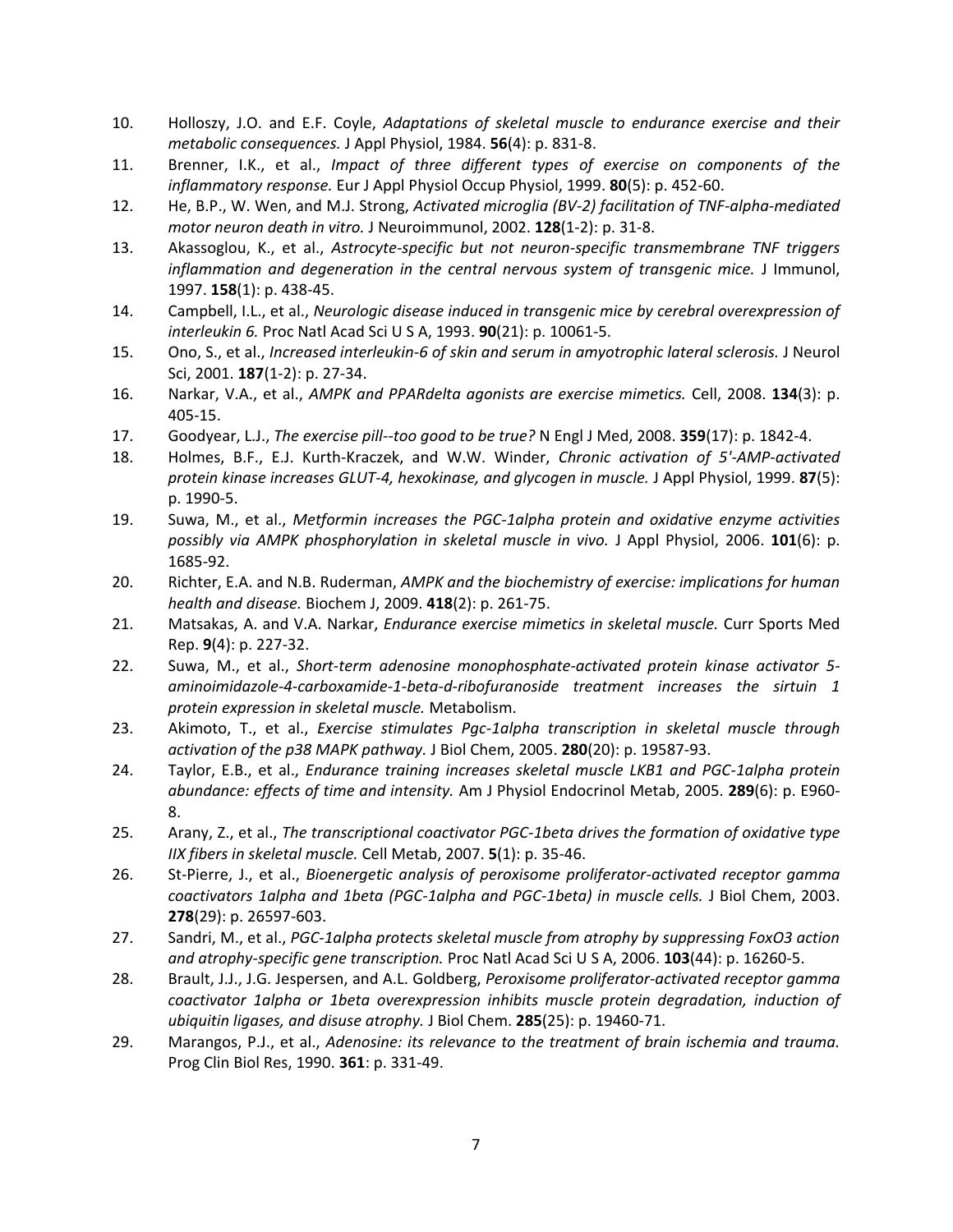- 10. Holloszy, J.O. and E.F. Coyle, *Adaptations of skeletal muscle to endurance exercise and their metabolic consequences.* J Appl Physiol, 1984. **56**(4): p. 831-8.
- 11. Brenner, I.K., et al., *Impact of three different types of exercise on components of the inflammatory response.* Eur J Appl Physiol Occup Physiol, 1999. **80**(5): p. 452-60.
- 12. He, B.P., W. Wen, and M.J. Strong, *Activated microglia (BV-2) facilitation of TNF-alpha-mediated motor neuron death in vitro.* J Neuroimmunol, 2002. **128**(1-2): p. 31-8.
- 13. Akassoglou, K., et al., *Astrocyte-specific but not neuron-specific transmembrane TNF triggers inflammation and degeneration in the central nervous system of transgenic mice.* J Immunol, 1997. **158**(1): p. 438-45.
- 14. Campbell, I.L., et al., *Neurologic disease induced in transgenic mice by cerebral overexpression of interleukin 6.* Proc Natl Acad Sci U S A, 1993. **90**(21): p. 10061-5.
- 15. Ono, S., et al., *Increased interleukin-6 of skin and serum in amyotrophic lateral sclerosis.* J Neurol Sci, 2001. **187**(1-2): p. 27-34.
- 16. Narkar, V.A., et al., *AMPK and PPARdelta agonists are exercise mimetics.* Cell, 2008. **134**(3): p. 405-15.
- 17. Goodyear, L.J., *The exercise pill--too good to be true?* N Engl J Med, 2008. **359**(17): p. 1842-4.
- 18. Holmes, B.F., E.J. Kurth-Kraczek, and W.W. Winder, *Chronic activation of 5'-AMP-activated protein kinase increases GLUT-4, hexokinase, and glycogen in muscle.* J Appl Physiol, 1999. **87**(5): p. 1990-5.
- 19. Suwa, M., et al., *Metformin increases the PGC-1alpha protein and oxidative enzyme activities possibly via AMPK phosphorylation in skeletal muscle in vivo.* J Appl Physiol, 2006. **101**(6): p. 1685-92.
- 20. Richter, E.A. and N.B. Ruderman, *AMPK and the biochemistry of exercise: implications for human health and disease.* Biochem J, 2009. **418**(2): p. 261-75.
- 21. Matsakas, A. and V.A. Narkar, *Endurance exercise mimetics in skeletal muscle.* Curr Sports Med Rep. **9**(4): p. 227-32.
- 22. Suwa, M., et al., *Short-term adenosine monophosphate-activated protein kinase activator 5 aminoimidazole-4-carboxamide-1-beta-d-ribofuranoside treatment increases the sirtuin 1 protein expression in skeletal muscle.* Metabolism.
- 23. Akimoto, T., et al., *Exercise stimulates Pgc-1alpha transcription in skeletal muscle through activation of the p38 MAPK pathway.* J Biol Chem, 2005. **280**(20): p. 19587-93.
- 24. Taylor, E.B., et al., *Endurance training increases skeletal muscle LKB1 and PGC-1alpha protein abundance: effects of time and intensity.* Am J Physiol Endocrinol Metab, 2005. **289**(6): p. E960- 8.
- 25. Arany, Z., et al., *The transcriptional coactivator PGC-1beta drives the formation of oxidative type IIX fibers in skeletal muscle.* Cell Metab, 2007. **5**(1): p. 35-46.
- 26. St-Pierre, J., et al., *Bioenergetic analysis of peroxisome proliferator-activated receptor gamma coactivators 1alpha and 1beta (PGC-1alpha and PGC-1beta) in muscle cells.* J Biol Chem, 2003. **278**(29): p. 26597-603.
- 27. Sandri, M., et al., *PGC-1alpha protects skeletal muscle from atrophy by suppressing FoxO3 action and atrophy-specific gene transcription.* Proc Natl Acad Sci U S A, 2006. **103**(44): p. 16260-5.
- 28. Brault, J.J., J.G. Jespersen, and A.L. Goldberg, *Peroxisome proliferator-activated receptor gamma coactivator 1alpha or 1beta overexpression inhibits muscle protein degradation, induction of ubiquitin ligases, and disuse atrophy.* J Biol Chem. **285**(25): p. 19460-71.
- 29. Marangos, P.J., et al., *Adenosine: its relevance to the treatment of brain ischemia and trauma.* Prog Clin Biol Res, 1990. **361**: p. 331-49.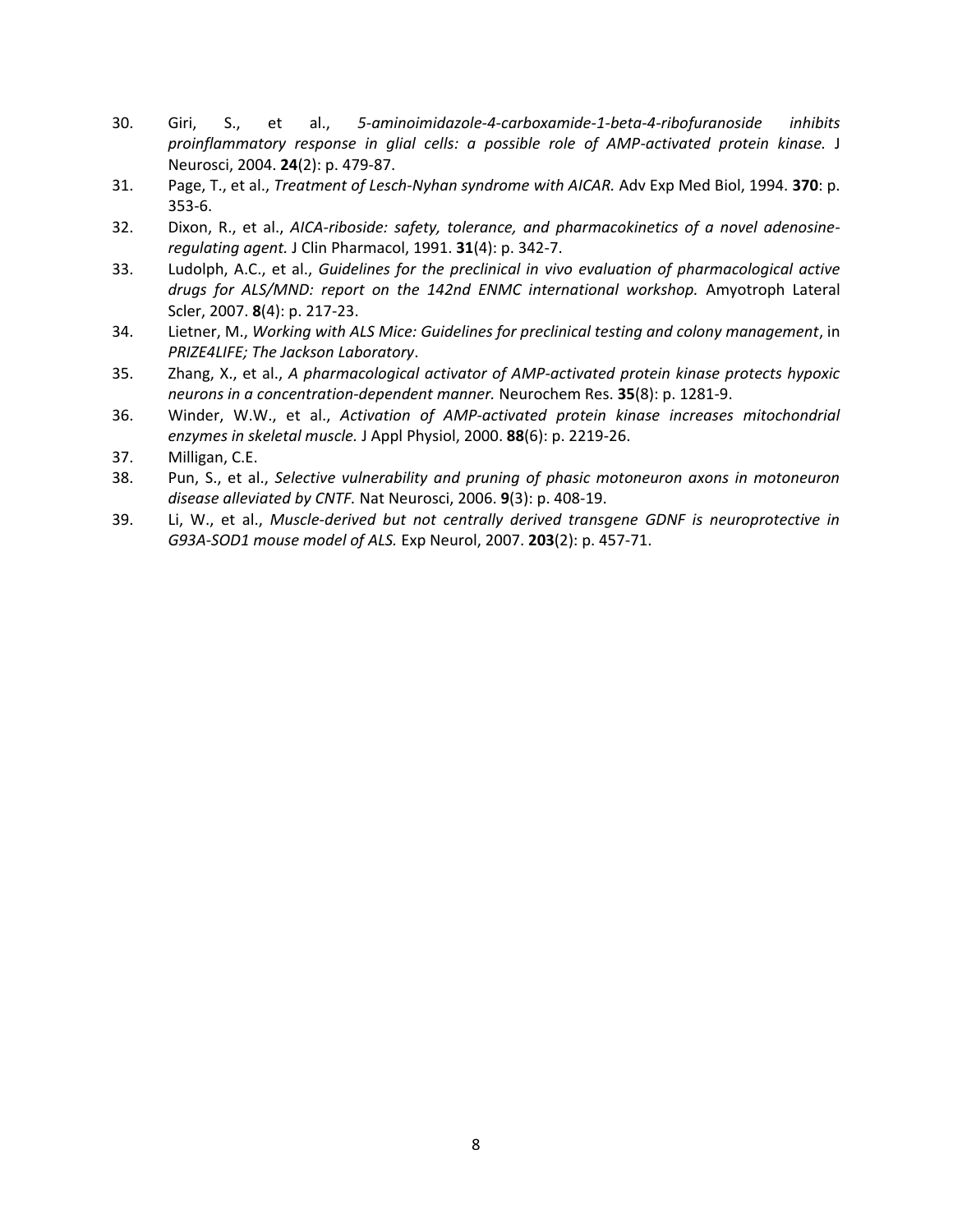- 30. Giri, S., et al., *5-aminoimidazole-4-carboxamide-1-beta-4-ribofuranoside inhibits proinflammatory response in glial cells: a possible role of AMP-activated protein kinase.* J Neurosci, 2004. **24**(2): p. 479-87.
- 31. Page, T., et al., *Treatment of Lesch-Nyhan syndrome with AICAR.* Adv Exp Med Biol, 1994. **370**: p. 353-6.
- 32. Dixon, R., et al., *AICA-riboside: safety, tolerance, and pharmacokinetics of a novel adenosineregulating agent.* J Clin Pharmacol, 1991. **31**(4): p. 342-7.
- 33. Ludolph, A.C., et al., *Guidelines for the preclinical in vivo evaluation of pharmacological active drugs for ALS/MND: report on the 142nd ENMC international workshop.* Amyotroph Lateral Scler, 2007. **8**(4): p. 217-23.
- 34. Lietner, M., *Working with ALS Mice: Guidelines for preclinical testing and colony management*, in *PRIZE4LIFE; The Jackson Laboratory*.
- 35. Zhang, X., et al., *A pharmacological activator of AMP-activated protein kinase protects hypoxic neurons in a concentration-dependent manner.* Neurochem Res. **35**(8): p. 1281-9.
- 36. Winder, W.W., et al., *Activation of AMP-activated protein kinase increases mitochondrial enzymes in skeletal muscle.* J Appl Physiol, 2000. **88**(6): p. 2219-26.
- 37. Milligan, C.E.
- 38. Pun, S., et al., *Selective vulnerability and pruning of phasic motoneuron axons in motoneuron disease alleviated by CNTF.* Nat Neurosci, 2006. **9**(3): p. 408-19.
- 39. Li, W., et al., *Muscle-derived but not centrally derived transgene GDNF is neuroprotective in G93A-SOD1 mouse model of ALS.* Exp Neurol, 2007. **203**(2): p. 457-71.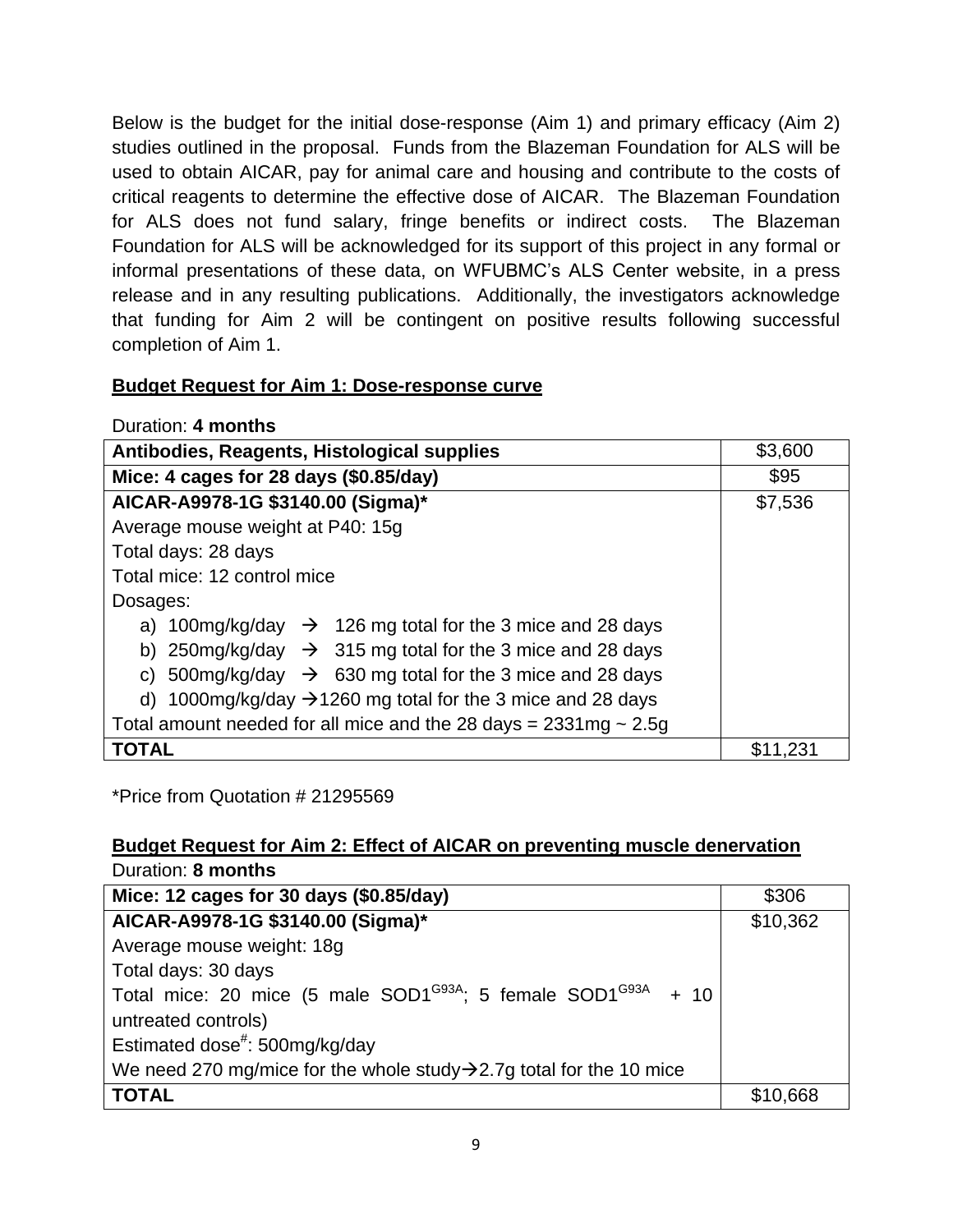Below is the budget for the initial dose-response (Aim 1) and primary efficacy (Aim 2) studies outlined in the proposal. Funds from the Blazeman Foundation for ALS will be used to obtain AICAR, pay for animal care and housing and contribute to the costs of critical reagents to determine the effective dose of AICAR. The Blazeman Foundation for ALS does not fund salary, fringe benefits or indirect costs. The Blazeman Foundation for ALS will be acknowledged for its support of this project in any formal or informal presentations of these data, on WFUBMC's ALS Center website, in a press release and in any resulting publications. Additionally, the investigators acknowledge that funding for Aim 2 will be contingent on positive results following successful completion of Aim 1.

## **Budget Request for Aim 1: Dose-response curve**

| Duration: 4 months                                                      |          |
|-------------------------------------------------------------------------|----------|
| Antibodies, Reagents, Histological supplies                             | \$3,600  |
| Mice: 4 cages for 28 days (\$0.85/day)                                  | \$95     |
| AICAR-A9978-1G \$3140.00 (Sigma)*                                       | \$7,536  |
| Average mouse weight at P40: 15g                                        |          |
| Total days: 28 days                                                     |          |
| Total mice: 12 control mice                                             |          |
| Dosages:                                                                |          |
| a) 100mg/kg/day $\rightarrow$ 126 mg total for the 3 mice and 28 days   |          |
| b) 250mg/kg/day $\rightarrow$ 315 mg total for the 3 mice and 28 days   |          |
| c) 500mg/kg/day $\rightarrow$ 630 mg total for the 3 mice and 28 days   |          |
| d) 1000mg/kg/day $\rightarrow$ 1260 mg total for the 3 mice and 28 days |          |
| Total amount needed for all mice and the 28 days = $2331mg \sim 2.5g$   |          |
| <b>TOTAL</b>                                                            | \$11,231 |

\*Price from Quotation # 21295569

#### **Budget Request for Aim 2: Effect of AICAR on preventing muscle denervation** Duration: **8 months**

| Mice: 12 cages for 30 days (\$0.85/day)                                               | \$306    |
|---------------------------------------------------------------------------------------|----------|
| AICAR-A9978-1G \$3140.00 (Sigma)*                                                     | \$10,362 |
| Average mouse weight: 18g                                                             |          |
| Total days: 30 days                                                                   |          |
| Total mice: 20 mice (5 male SOD1 <sup>G93A</sup> ; 5 female SOD1 <sup>G93A</sup> + 10 |          |
| untreated controls)                                                                   |          |
| Estimated dose <sup>#</sup> : 500mg/kg/day                                            |          |
| We need 270 mg/mice for the whole study $\rightarrow$ 2.7g total for the 10 mice      |          |
| <b>TOTAL</b>                                                                          | \$10,668 |